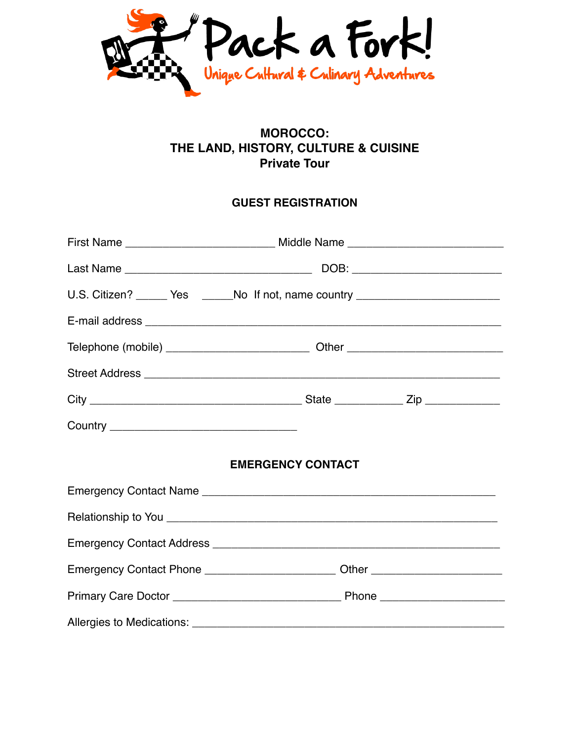

# **MOROCCO: THE LAND, HISTORY, CULTURE & CUISINE Private Tour**

## **GUEST REGISTRATION**

| First Name _________________________________ Middle Name _______________________ |
|----------------------------------------------------------------------------------|
|                                                                                  |
| U.S. Citizen? ______ Yes ______No If not, name country _________________________ |
|                                                                                  |
|                                                                                  |
|                                                                                  |
|                                                                                  |
|                                                                                  |
| <b>EMERGENCY CONTACT</b>                                                         |
|                                                                                  |
|                                                                                  |
|                                                                                  |
| Emergency Contact Phone ___________________________Other _______________________ |
|                                                                                  |
|                                                                                  |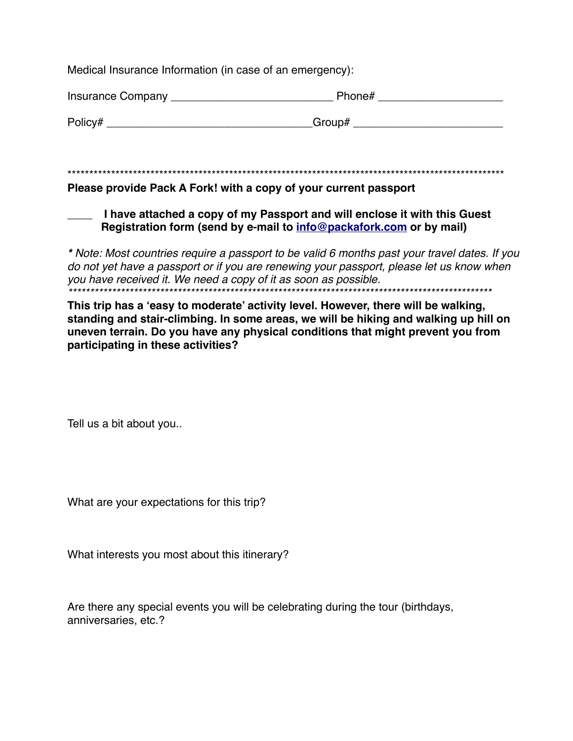Medical Insurance Information (in case of an emergency):

| Insurance Company | Phone# |
|-------------------|--------|
| Policy#           | Group# |

#### Please provide Pack A Fork! with a copy of your current passport

## I have attached a copy of my Passport and will enclose it with this Guest Registration form (send by e-mail to info@packafork.com or by mail)

\* Note: Most countries require a passport to be valid 6 months past your travel dates. If you do not yet have a passport or if you are renewing your passport, please let us know when you have received it. We need a copy of it as soon as possible.

This trip has a 'easy to moderate' activity level. However, there will be walking, standing and stair-climbing. In some areas, we will be hiking and walking up hill on uneven terrain. Do you have any physical conditions that might prevent you from participating in these activities?

Tell us a bit about you..

What are your expectations for this trip?

What interests you most about this itinerary?

Are there any special events you will be celebrating during the tour (birthdays, anniversaries, etc.?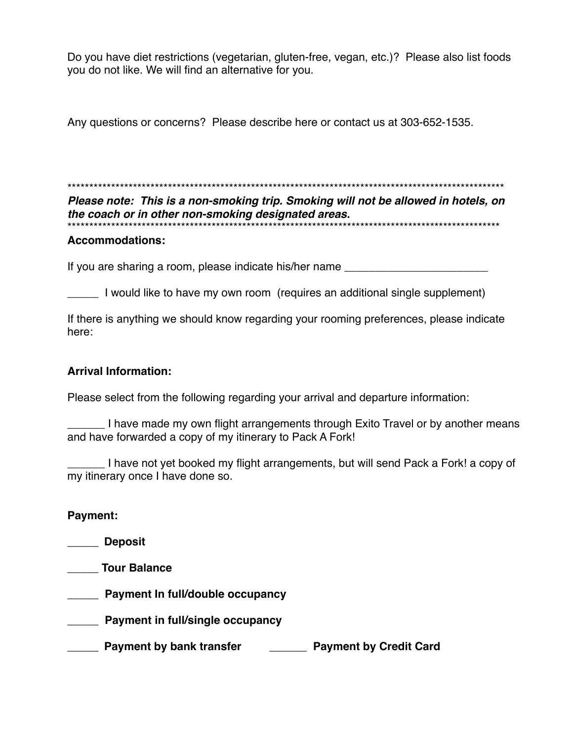Do you have diet restrictions (vegetarian, gluten-free, vegan, etc.)? Please also list foods you do not like. We will find an alternative for you.

Any questions or concerns? Please describe here or contact us at 303-652-1535.

\*\*\*\*\*\*\*\*\*\*\*\*\*\*\*\*\*\*\*\*\*\*\*\*\*\*\*\*\*\*\*\*\*\*\*\*\*\*\*\*\*\*\*\*\*\*\*\*\*\*\*\*\*\*\*\*\*\*\*\*\*\*\*\*\*\*\*\*\*\*\*\*\*\*\*\*\*\*\*\*\*\*\*\*\*\*\*\*\*\*\*\*\*\*\*\*\*\*\*\*

*Please note: This is a non-smoking trip. Smoking will not be allowed in hotels, on the coach or in other non-smoking designated areas.* \*\*\*\*\*\*\*\*\*\*\*\*\*\*\*\*\*\*\*\*\*\*\*\*\*\*\*\*\*\*\*\*\*\*\*\*\*\*\*\*\*\*\*\*\*\*\*\*\*\*\*\*\*\*\*\*\*\*\*\*\*\*\*\*\*\*\*\*\*\*\*\*\*\*\*\*\*\*\*\*\*\*\*\*\*\*\*\*\*\*\*\*\*\*\*\*\*\*\*

#### **Accommodations:**

If you are sharing a room, please indicate his/her name

\_\_\_\_\_ I would like to have my own room (requires an additional single supplement)

If there is anything we should know regarding your rooming preferences, please indicate here:

## **Arrival Information:**

Please select from the following regarding your arrival and departure information:

I have made my own flight arrangements through Exito Travel or by another means and have forwarded a copy of my itinerary to Pack A Fork!

\_\_\_\_\_\_ I have not yet booked my flight arrangements, but will send Pack a Fork! a copy of my itinerary once I have done so.

## **Payment:**

**\_\_\_\_\_ Deposit** 

**\_\_\_\_\_ Tour Balance** 

- \_\_\_\_\_ **Payment In full/double occupancy**
- **\_\_\_\_\_ Payment in full/single occupancy**
- \_\_\_\_\_ **Payment by bank transfer \_\_\_\_\_\_ Payment by Credit Card**